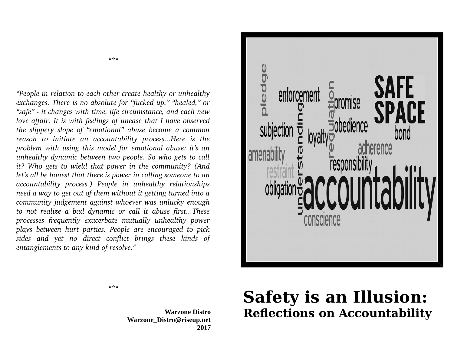*"People in relation to each other create healthy or unhealthy exchanges. There is no absolute for "fucked up," "healed," or "safe" it changes with time, life circumstance, and each new love affair. It is with feelings of unease that I have observed the slippery slope of "emotional" abuse become a common reason to initiate an accountability process...Here is the problem with using this model for emotional abuse: it's an unhealthy dynamic between two people. So who gets to call it? Who gets to wield that power in the community? (And let's all be honest that there is power in calling someone to an accountability process.) People in unhealthy relationships need a way to get out of them without it getting turned into a community judgement against whoever was unlucky enough to not realize a bad dynamic or call it abuse first...These processes frequently exacerbate mutually unhealthy power plays between hurt parties. People are encouraged to pick sides and yet no direct conflict brings these kinds of entanglements to any kind of resolve."*

\*\*\*



## \*\*\*

## **Warzone Distro Warzone\_Distro@riseup.net 2017**

## **Safety is an Illusion: Reflections on Accountability**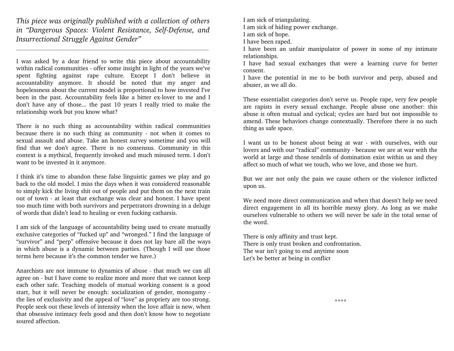*This piece was originally published with a collection of others* in "Dangerous Spaces: Violent Resistance, Self-Defense, and *Insurrectional Struggle Against Gender"*

 $\mathcal{L}_\text{max} = \frac{1}{2} \sum_{i=1}^n \mathcal{L}_\text{max}(\mathbf{z}_i - \mathbf{z}_i)$ 

I was asked by a dear friend to write this piece about accountability within radical communities - offer some insight in light of the years we've spent fighting against rape culture. Except I don't believe in accountability anymore. It should be noted that my anger and hopelessness about the current model is proportional to how invested I've been in the past. Accountability feels like a bitter ex-lover to me and I don't have any of those... the past 10 years I really tried to make the relationship work but you know what?

There is no such thing as accountability within radical communities because there is no such thing as community - not when it comes to sexual assault and abuse. Take an honest survey sometime and you will find that we don't agree. There is no consensus. Community in this context is a mythical, frequently invoked and much misused term. I don't want to be invested in it anymore.

I think it's time to abandon these false linguistic games we play and go back to the old model. I miss the days when it was considered reasonable to simply kick the living shit out of people and put them on the next train out of town - at least that exchange was clear and honest. I have spent too much time with both survivors and perpetrators drowning in a deluge of words that didn't lead to healing or even fucking catharsis.

I am sick of the language of accountability being used to create mutually exclusive categories of "fucked up" and "wronged." I find the language of "survivor" and "perp" offensive because it does not lay bare all the ways in which abuse is a dynamic between parties. (Though I will use those terms here because it's the common tender we have.)

Anarchists are not immune to dynamics of abuse - that much we can all agree on - but I have come to realize more and more that we cannot keep each other safe. Teaching models of mutual working consent is a good start, but it will never be enough: socialization of gender, monogamy the lies of exclusivity and the appeal of "love" as propriety are too strong. People seek out these levels of intensity when the love affair is new, when that obsessive intimacy feels good and then don't know how to negotiate soured affection.

I am sick of triangulating.

I am sick of hiding power exchange.

I am sick of hope.

I have been raped.

I have been an unfair manipulator of power in some of my intimate relationships.

I have had sexual exchanges that were a learning curve for better consent.

I have the potential in me to be both survivor and perp, abused and abuser, as we all do.

These essentialist categories don't serve us. People rape, very few people are rapists in every sexual exchange. People abuse one another: this abuse is often mutual and cyclical; cycles are hard but not impossible to amend. These behaviors change contextually. Therefore there is no such thing as safe space.

I want us to be honest about being at war - with ourselves, with our lovers and with our "radical" community - because we are at war with the world at large and those tendrils of domination exist within us and they affect so much of what we touch, who we love, and those we hurt.

But we are not only the pain we cause others or the violence inflicted upon us.

We need more direct communication and when that doesn't help we need direct engagement in all its horrible messy glory. As long as we make ourselves vulnerable to others we will never be safe in the total sense of the word.

There is only affinity and trust kept. There is only trust broken and confrontation. The war isn't going to end anytime soon Let's be better at being in conflict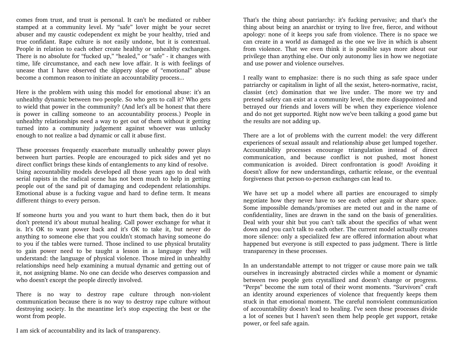comes from trust, and trust is personal. It can't be mediated or rubber stamped at a community level. My "safe" lover might be your secret abuser and my caustic codependent ex might be your healthy, tried and true confidant. Rape culture is not easily undone, but it is contextual. People in relation to each other create healthy or unhealthy exchanges. There is no absolute for "fucked up," "healed," or "safe" it changes with time, life circumstance, and each new love affair. It is with feelings of unease that I have observed the slippery slope of "emotional" abuse become a common reason to initiate an accountability process...

Here is the problem with using this model for emotional abuse: it's an unhealthy dynamic between two people. So who gets to call it? Who gets to wield that power in the community? (And let's all be honest that there is power in calling someone to an accountability process.) People in unhealthy relationships need a way to get out of them without it getting turned into a community judgement against whoever was unlucky enough to not realize a bad dynamic or call it abuse first.

These processes frequently exacerbate mutually unhealthy power plays between hurt parties. People are encouraged to pick sides and yet no direct conflict brings these kinds of entanglements to any kind of resolve. Using accountability models developed all those years ago to deal with serial rapists in the radical scene has not been much to help in getting people out of the sand pit of damaging and codependent relationships. Emotional abuse is a fucking vague and hard to define term. It means different things to every person.

If someone hurts you and you want to hurt them back, then do it but don't pretend it's about mutual healing. Call power exchange for what it is. It's OK to want power back and it's OK to take it, but never do anything to someone else that you couldn't stomach having someone do to you if the tables were turned. Those inclined to use physical brutality to gain power need to be taught a lesson in a language they will understand: the language of physical violence. Those mired in unhealthy relationships need help examining a mutual dynamic and getting out of it, not assigning blame. No one can decide who deserves compassion and who doesn't except the people directly involved.

There is no way to destroy rape culture through non-violent communication because there is no way to destroy rape culture without destroying society. In the meantime let's stop expecting the best or the worst from people.

I am sick of accountability and its lack of transparency.

That's the thing about patriarchy: it's fucking pervasive; and that's the thing about being an anarchist or trying to live free, fierce, and without apology: none of it keeps you safe from violence. There is no space we can create in a world as damaged as the one we live in which is absent from violence. That we even think it is possible says more about our privilege than anything else. Our only autonomy lies in how we negotiate and use power and violence ourselves.

I really want to emphasize: there is no such thing as safe space under patriarchy or capitalism in light of all the sexist, hetero-normative, racist, classist (etc) domination that we live under. The more we try and pretend safety can exist at a community level, the more disappointed and betrayed our friends and lovers will be when they experience violence and do not get supported. Right now we've been talking a good game but the results are not adding up.

There are a lot of problems with the current model: the very different experiences of sexual assault and relationship abuse get lumped together. Accountability processes encourage triangulation instead of direct communication, and because conflict is not pushed, most honest communication is avoided. Direct confrontation is good! Avoiding it doesn't allow for new understandings, cathartic release, or the eventual forgiveness that person-to-person exchanges can lead to.

We have set up a model where all parties are encouraged to simply negotiate how they never have to see each other again or share space. Some impossible demands/promises are meted out and in the name of confidentiality, lines are drawn in the sand on the basis of generalities. Deal with your shit but you can't talk about the specifics of what went down and you can't talk to each other. The current model actually creates more silence: only a specialized few are offered information about what happened but everyone is still expected to pass judgment. There is little transparency in these processes.

In an understandable attempt to not trigger or cause more pain we talk ourselves in increasingly abstracted circles while a moment or dynamic between two people gets crystallized and doesn't change or progress. "Perps" become the sum total of their worst moments. "Survivors" craft an identity around experiences of violence that frequently keeps them stuck in that emotional moment. The careful nonviolent communication of accountability doesn't lead to healing. I've seen these processes divide a lot of scenes but I haven't seen them help people get support, retake power, or feel safe again.